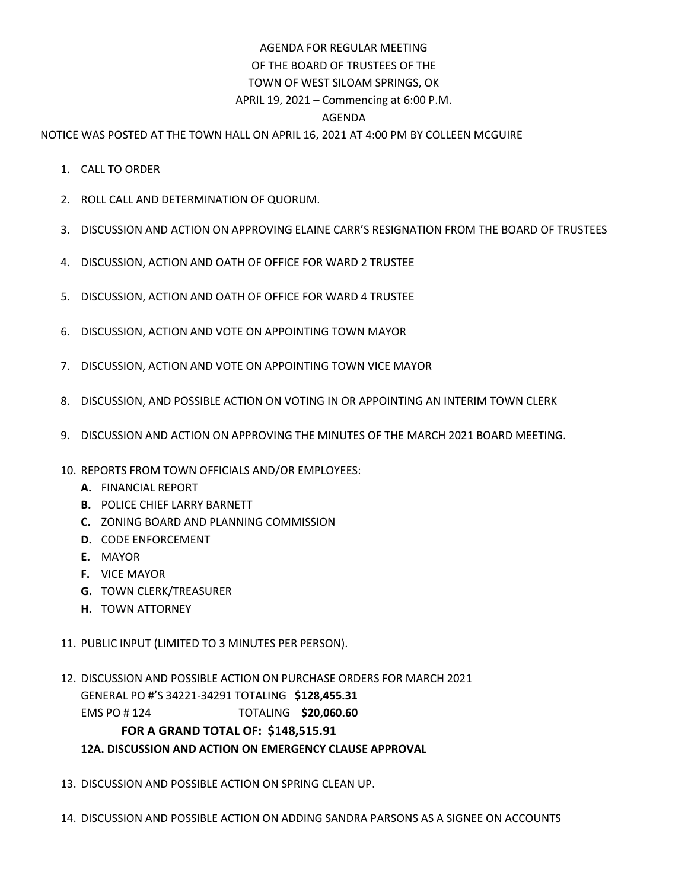## AGENDA FOR REGULAR MEETING OF THE BOARD OF TRUSTEES OF THE TOWN OF WEST SILOAM SPRINGS, OK APRIL 19, 2021 – Commencing at 6:00 P.M. AGENDA

NOTICE WAS POSTED AT THE TOWN HALL ON APRIL 16, 2021 AT 4:00 PM BY COLLEEN MCGUIRE

- 1. CALL TO ORDER
- 2. ROLL CALL AND DETERMINATION OF QUORUM.
- 3. DISCUSSION AND ACTION ON APPROVING ELAINE CARR'S RESIGNATION FROM THE BOARD OF TRUSTEES
- 4. DISCUSSION, ACTION AND OATH OF OFFICE FOR WARD 2 TRUSTEE
- 5. DISCUSSION, ACTION AND OATH OF OFFICE FOR WARD 4 TRUSTEE
- 6. DISCUSSION, ACTION AND VOTE ON APPOINTING TOWN MAYOR
- 7. DISCUSSION, ACTION AND VOTE ON APPOINTING TOWN VICE MAYOR
- 8. DISCUSSION, AND POSSIBLE ACTION ON VOTING IN OR APPOINTING AN INTERIM TOWN CLERK
- 9. DISCUSSION AND ACTION ON APPROVING THE MINUTES OF THE MARCH 2021 BOARD MEETING.
- 10. REPORTS FROM TOWN OFFICIALS AND/OR EMPLOYEES:
	- **A.** FINANCIAL REPORT
	- **B.** POLICE CHIEF LARRY BARNETT
	- **C.** ZONING BOARD AND PLANNING COMMISSION
	- **D.** CODE ENFORCEMENT
	- **E.** MAYOR
	- **F.** VICE MAYOR
	- **G.** TOWN CLERK/TREASURER
	- **H.** TOWN ATTORNEY
- 11. PUBLIC INPUT (LIMITED TO 3 MINUTES PER PERSON).
- 12. DISCUSSION AND POSSIBLE ACTION ON PURCHASE ORDERS FOR MARCH 2021 GENERAL PO #'S 34221-34291 TOTALING **\$128,455.31** EMS PO # 124 TOTALING **\$20,060.60 FOR A GRAND TOTAL OF: \$148,515.91**

## **12A. DISCUSSION AND ACTION ON EMERGENCY CLAUSE APPROVAL**

- 13. DISCUSSION AND POSSIBLE ACTION ON SPRING CLEAN UP.
- 14. DISCUSSION AND POSSIBLE ACTION ON ADDING SANDRA PARSONS AS A SIGNEE ON ACCOUNTS